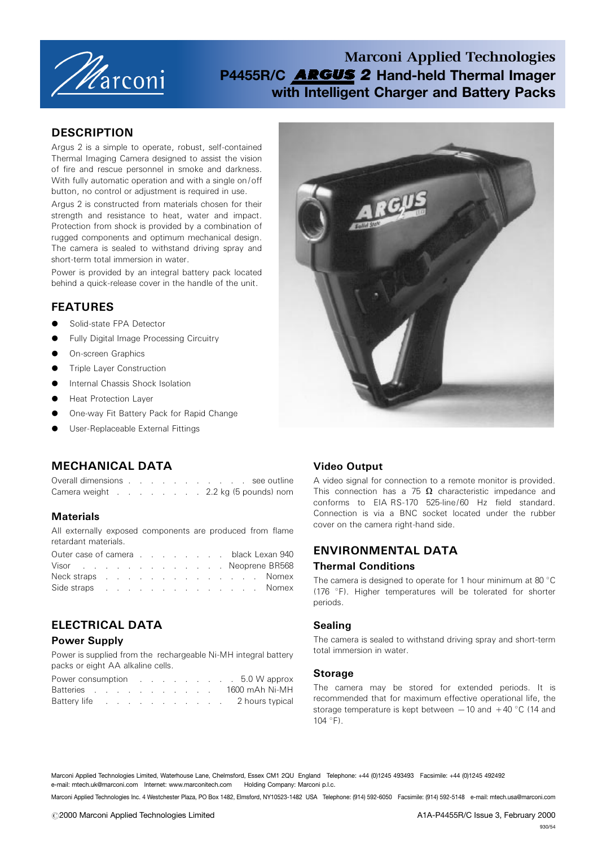

# Marconi Applied Technologies P4455R/C **ARGUS 2** Hand-held Thermal Imager with Intelligent Charger and Battery Packs

## **DESCRIPTION**

Argus 2 is a simple to operate, robust, self-contained Thermal Imaging Camera designed to assist the vision of fire and rescue personnel in smoke and darkness. With fully automatic operation and with a single on/off button, no control or adjustment is required in use.

Argus 2 is constructed from materials chosen for their strength and resistance to heat, water and impact. Protection from shock is provided by a combination of rugged components and optimum mechanical design. The camera is sealed to withstand driving spray and short-term total immersion in water.

Power is provided by an integral battery pack located behind a quick-release cover in the handle of the unit.

## FEATURES

- Solid-state FPA Detector
- **Fully Digital Image Processing Circuitry**
- On-screen Graphics
- Triple Layer Construction
- Internal Chassis Shock Isolation
- Heat Protection Layer
- One-way Fit Battery Pack for Rapid Change
- User-Replaceable External Fittings



# MECHANICAL DATA

| Overall dimensions. |  |  |  | the contract of the contract of the contract of the contract of the contract of the contract of the contract of |  | see outline           |  |
|---------------------|--|--|--|-----------------------------------------------------------------------------------------------------------------|--|-----------------------|--|
| Camera weight       |  |  |  |                                                                                                                 |  | 2.2 kg (5 pounds) nom |  |

### **Materials**

All externally exposed components are produced from flame retardant materials.

| Outer case of camera black Lexan 940 |  |  |  |  |  |  |  |  |
|--------------------------------------|--|--|--|--|--|--|--|--|
| Visor Neoprene BR568                 |  |  |  |  |  |  |  |  |
| Neck straps Nomex                    |  |  |  |  |  |  |  |  |
| Side straps Nomex                    |  |  |  |  |  |  |  |  |

# ELECTRICAL DATA

### Power Supply

Power is supplied from the rechargeable Ni-MH integral battery packs or eight AA alkaline cells.

|  |  |  |  |  |  | Power consumption example and the consumption of the consumption of the constant of the 5.0 W approx |
|--|--|--|--|--|--|------------------------------------------------------------------------------------------------------|
|  |  |  |  |  |  | Batteries 1600 mAh Ni-MH                                                                             |
|  |  |  |  |  |  | Battery life 2 hours typical                                                                         |

## Video Output

A video signal for connection to a remote monitor is provided. This connection has a  $75 \Omega$  characteristic impedance and conforms to EIA RS-170 525-line/60 Hz field standard. Connection is via a BNC socket located under the rubber cover on the camera right-hand side.

## ENVIRONMENTAL DATA

### Thermal Conditions

The camera is designed to operate for 1 hour minimum at 80 $\degree$ C (176  $\degree$ F). Higher temperatures will be tolerated for shorter periods.

### Sealing

The camera is sealed to withstand driving spray and short-term total immersion in water.

#### **Storage**

The camera may be stored for extended periods. It is recommended that for maximum effective operational life, the storage temperature is kept between  $-10$  and  $+40$  °C (14 and  $104 °F$ ).

Marconi Applied Technologies Limited, Waterhouse Lane, Chelmsford, Essex CM1 2QU England Telephone: +44 (0)1245 493493 Facsimile: +44 (0)1245 492492 e-mail: mtech.uk@marconi.com Internet: www.marconitech.com Holding Company: Marconi p.l.c.

Marconi Applied Technologies Inc. 4 Westchester Plaza, PO Box 1482, Elmsford, NY10523-1482 USA Telephone: (914) 592-6050 Facsimile: (914) 592-5148 e-mail: mtech.usa@marconi.com